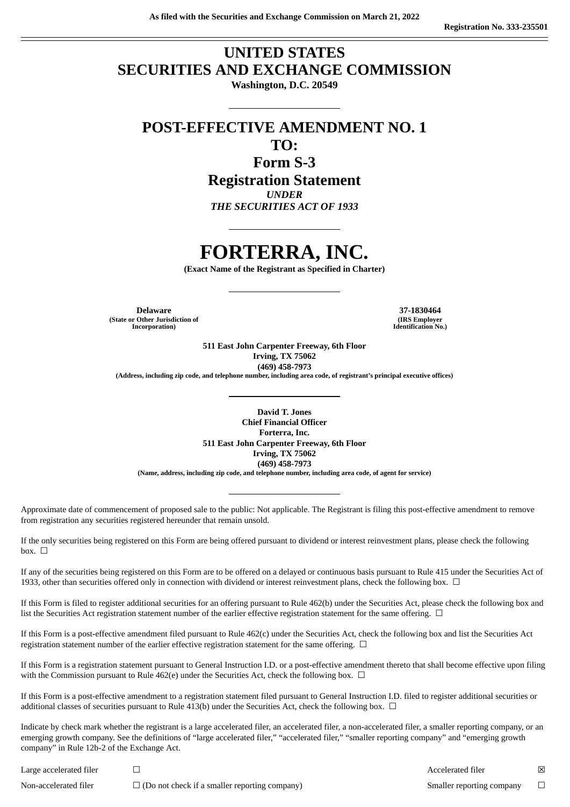# **UNITED STATES SECURITIES AND EXCHANGE COMMISSION**

**Washington, D.C. 20549**

**POST-EFFECTIVE AMENDMENT NO. 1 TO:**

**Form S-3**

**Registration Statement**

*UNDER*

*THE SECURITIES ACT OF 1933*

# **FORTERRA, INC.**

**(Exact Name of the Registrant as Specified in Charter)**

**Delaware 37-1830464 (State or Other Jurisdiction of Incorporation)**

**(IRS Employer Identification No.)**

**511 East John Carpenter Freeway, 6th Floor Irving, TX 75062 (469) 458-7973 (Address, including zip code, and telephone number, including area code, of registrant's principal executive offices)**

**David T. Jones Chief Financial Officer Forterra, Inc. 511 East John Carpenter Freeway, 6th Floor Irving, TX 75062 (469) 458-7973 (Name, address, including zip code, and telephone number, including area code, of agent for service)**

Approximate date of commencement of proposed sale to the public: Not applicable. The Registrant is filing this post-effective amendment to remove from registration any securities registered hereunder that remain unsold.

If the only securities being registered on this Form are being offered pursuant to dividend or interest reinvestment plans, please check the following  $box. \Box$ 

If any of the securities being registered on this Form are to be offered on a delayed or continuous basis pursuant to Rule 415 under the Securities Act of 1933, other than securities offered only in connection with dividend or interest reinvestment plans, check the following box.  $\Box$ 

If this Form is filed to register additional securities for an offering pursuant to Rule 462(b) under the Securities Act, please check the following box and list the Securities Act registration statement number of the earlier effective registration statement for the same offering.  $\Box$ 

If this Form is a post-effective amendment filed pursuant to Rule 462(c) under the Securities Act, check the following box and list the Securities Act registration statement number of the earlier effective registration statement for the same offering.  $\Box$ 

If this Form is a registration statement pursuant to General Instruction I.D. or a post-effective amendment thereto that shall become effective upon filing with the Commission pursuant to Rule 462(e) under the Securities Act, check the following box.  $\Box$ 

If this Form is a post-effective amendment to a registration statement filed pursuant to General Instruction I.D. filed to register additional securities or additional classes of securities pursuant to Rule 413(b) under the Securities Act, check the following box.  $\Box$ 

Indicate by check mark whether the registrant is a large accelerated filer, an accelerated filer, a non-accelerated filer, a smaller reporting company, or an emerging growth company. See the definitions of "large accelerated filer," "accelerated filer," "smaller reporting company" and "emerging growth company" in Rule 12b-2 of the Exchange Act.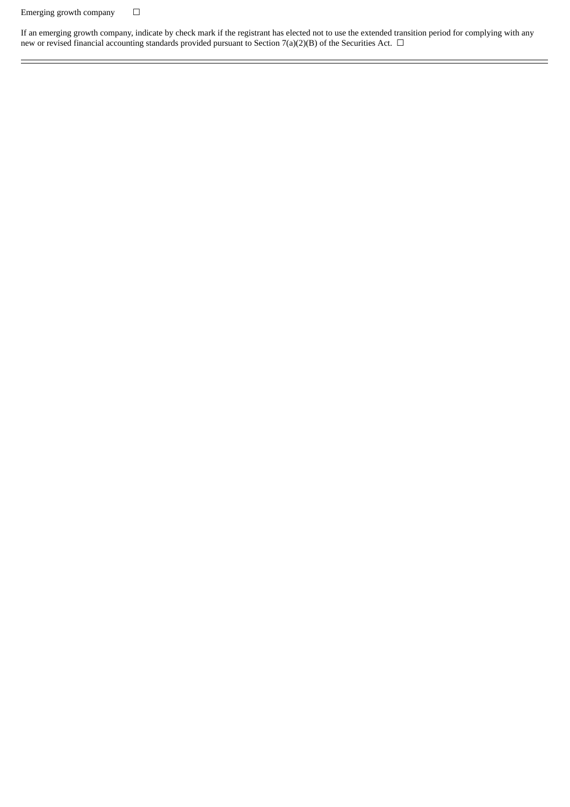## Emerging growth company  $\hfill \Box$

If an emerging growth company, indicate by check mark if the registrant has elected not to use the extended transition period for complying with any new or revised financial accounting standards provided pursuant to Section 7(a)(2)(B) of the Securities Act.  $\Box$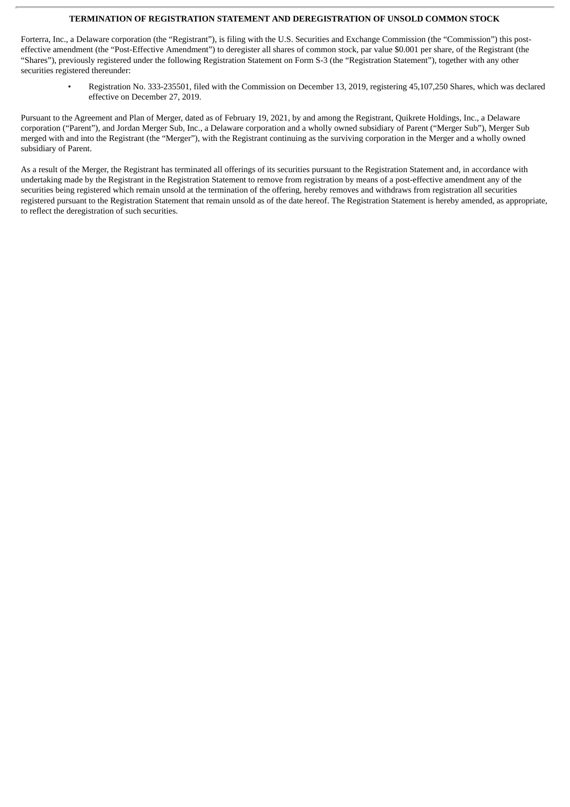#### **TERMINATION OF REGISTRATION STATEMENT AND DEREGISTRATION OF UNSOLD COMMON STOCK**

Forterra, Inc., a Delaware corporation (the "Registrant"), is filing with the U.S. Securities and Exchange Commission (the "Commission") this posteffective amendment (the "Post-Effective Amendment") to deregister all shares of common stock, par value \$0.001 per share, of the Registrant (the "Shares"), previously registered under the following Registration Statement on Form S-3 (the "Registration Statement"), together with any other securities registered thereunder:

• Registration No. 333-235501, filed with the Commission on December 13, 2019, registering 45,107,250 Shares, which was declared effective on December 27, 2019.

Pursuant to the Agreement and Plan of Merger, dated as of February 19, 2021, by and among the Registrant, Quikrete Holdings, Inc., a Delaware corporation ("Parent"), and Jordan Merger Sub, Inc., a Delaware corporation and a wholly owned subsidiary of Parent ("Merger Sub"), Merger Sub merged with and into the Registrant (the "Merger"), with the Registrant continuing as the surviving corporation in the Merger and a wholly owned subsidiary of Parent.

As a result of the Merger, the Registrant has terminated all offerings of its securities pursuant to the Registration Statement and, in accordance with undertaking made by the Registrant in the Registration Statement to remove from registration by means of a post-effective amendment any of the securities being registered which remain unsold at the termination of the offering, hereby removes and withdraws from registration all securities registered pursuant to the Registration Statement that remain unsold as of the date hereof. The Registration Statement is hereby amended, as appropriate, to reflect the deregistration of such securities.